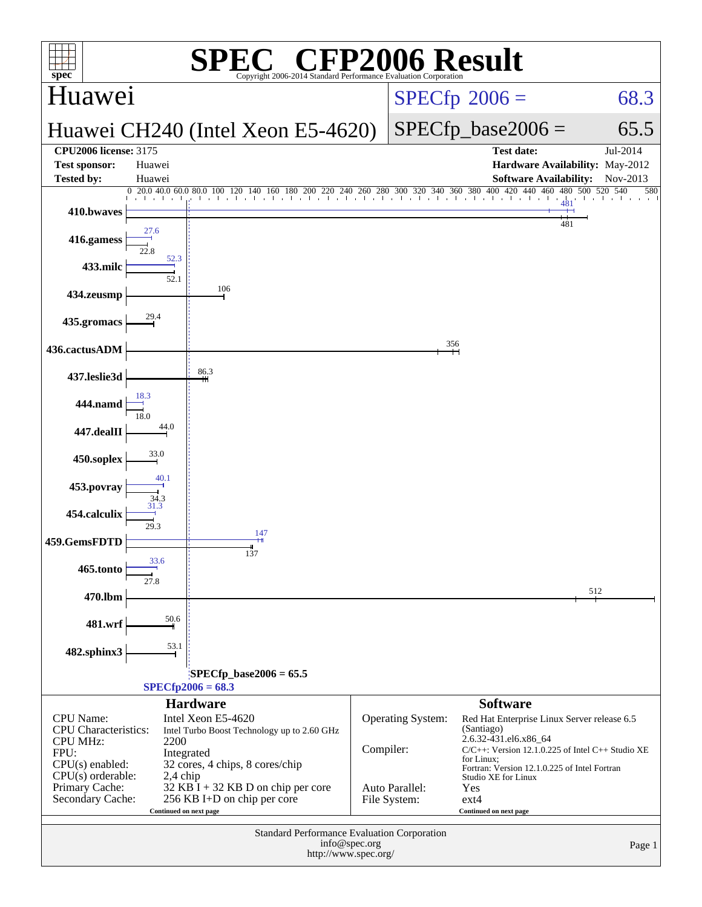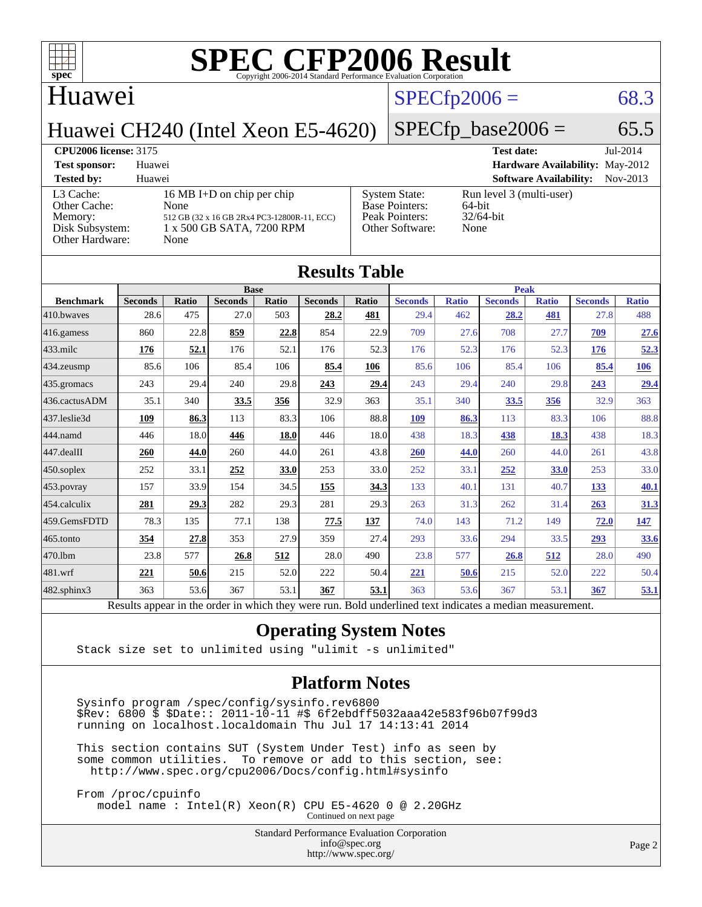

[Peak Pointers:](http://www.spec.org/auto/cpu2006/Docs/result-fields.html#PeakPointers)

[Other Software:](http://www.spec.org/auto/cpu2006/Docs/result-fields.html#OtherSoftware) None

### Huawei

[Other Cache:](http://www.spec.org/auto/cpu2006/Docs/result-fields.html#OtherCache)

# $SPECTp2006 = 68.3$

## Huawei CH240 (Intel Xeon E5-4620)

[L3 Cache:](http://www.spec.org/auto/cpu2006/Docs/result-fields.html#L3Cache) 16 MB I+D on chip per chip<br>Other Cache: None

[Memory:](http://www.spec.org/auto/cpu2006/Docs/result-fields.html#Memory) 512 GB (32 x 16 GB 2Rx4 PC3-12800R-11, ECC) [Disk Subsystem:](http://www.spec.org/auto/cpu2006/Docs/result-fields.html#DiskSubsystem) 1 x 500 GB SATA, 7200 RPM

[Other Hardware:](http://www.spec.org/auto/cpu2006/Docs/result-fields.html#OtherHardware) None

 $SPECTp\_base2006 = 65.5$ **[CPU2006 license:](http://www.spec.org/auto/cpu2006/Docs/result-fields.html#CPU2006license)** 3175 **[Test date:](http://www.spec.org/auto/cpu2006/Docs/result-fields.html#Testdate)** Jul-2014 **[Test sponsor:](http://www.spec.org/auto/cpu2006/Docs/result-fields.html#Testsponsor)** Huawei **[Hardware Availability:](http://www.spec.org/auto/cpu2006/Docs/result-fields.html#HardwareAvailability)** May-2012 **[Tested by:](http://www.spec.org/auto/cpu2006/Docs/result-fields.html#Testedby)** Huawei **[Software Availability:](http://www.spec.org/auto/cpu2006/Docs/result-fields.html#SoftwareAvailability)** Nov-2013 [System State:](http://www.spec.org/auto/cpu2006/Docs/result-fields.html#SystemState) Run level 3 (multi-user)<br>Base Pointers: 64-bit [Base Pointers:](http://www.spec.org/auto/cpu2006/Docs/result-fields.html#BasePointers) 64-bit<br>Peak Pointers: 32/64-bit

| <b>Results Table</b> |                                                                                                          |              |                |       |                |       |                |              |                |              |                |              |
|----------------------|----------------------------------------------------------------------------------------------------------|--------------|----------------|-------|----------------|-------|----------------|--------------|----------------|--------------|----------------|--------------|
|                      | <b>Base</b>                                                                                              |              |                |       |                |       | <b>Peak</b>    |              |                |              |                |              |
| <b>Benchmark</b>     | <b>Seconds</b>                                                                                           | <b>Ratio</b> | <b>Seconds</b> | Ratio | <b>Seconds</b> | Ratio | <b>Seconds</b> | <b>Ratio</b> | <b>Seconds</b> | <b>Ratio</b> | <b>Seconds</b> | <b>Ratio</b> |
| 410.bwayes           | 28.6                                                                                                     | 475          | 27.0           | 503   | 28.2           | 481   | 29.4           | 462          | 28.2           | 481          | 27.8           | 488          |
| 416.gamess           | 860                                                                                                      | 22.8         | 859            | 22.8  | 854            | 22.9  | 709            | 27.6         | 708            | 27.7         | 709            | 27.6         |
| 433.milc             | 176                                                                                                      | 52.1         | 176            | 52.1  | 176            | 52.3  | 176            | 52.3         | 176            | 52.3         | 176            | 52.3         |
| 434.zeusmp           | 85.6                                                                                                     | 106          | 85.4           | 106   | 85.4           | 106   | 85.6           | 106          | 85.4           | 106          | 85.4           | <u>106</u>   |
| 435.gromacs          | 243                                                                                                      | 29.4         | 240            | 29.8  | 243            | 29.4  | 243            | 29.4         | 240            | 29.8         | 243            | 29.4         |
| 436.cactusADM        | 35.1                                                                                                     | 340          | 33.5           | 356   | 32.9           | 363   | 35.1           | 340          | 33.5           | 356          | 32.9           | 363          |
| 437.leslie3d         | 109                                                                                                      | 86.3         | 113            | 83.3  | 106            | 88.8  | 109            | 86.3         | 113            | 83.3         | 106            | 88.8         |
| 444.namd             | 446                                                                                                      | 18.0         | 446            | 18.0  | 446            | 18.0  | 438            | 18.3         | 438            | 18.3         | 438            | 18.3         |
| 447.dealII           | 260                                                                                                      | 44.0         | 260            | 44.0  | 261            | 43.8  | 260            | 44.0         | 260            | 44.0         | 261            | 43.8         |
| 450.soplex           | 252                                                                                                      | 33.1         | 252            | 33.0  | 253            | 33.0  | 252            | 33.1         | 252            | 33.0         | 253            | 33.0         |
| 453.povray           | 157                                                                                                      | 33.9         | 154            | 34.5  | 155            | 34.3  | 133            | 40.1         | 131            | 40.7         | 133            | 40.1         |
| 454.calculix         | 281                                                                                                      | 29.3         | 282            | 29.3  | 281            | 29.3  | 263            | 31.3         | 262            | 31.4         | 263            | 31.3         |
| 459.GemsFDTD         | 78.3                                                                                                     | 135          | 77.1           | 138   | 77.5           | 137   | 74.0           | 143          | 71.2           | 149          | 72.0           | <u>147</u>   |
| 465.tonto            | 354                                                                                                      | 27.8         | 353            | 27.9  | 359            | 27.4  | 293            | 33.6         | 294            | 33.5         | 293            | 33.6         |
| 470.1bm              | 23.8                                                                                                     | 577          | 26.8           | 512   | 28.0           | 490   | 23.8           | 577          | 26.8           | 512          | 28.0           | 490          |
| 481.wrf              | 221                                                                                                      | 50.6         | 215            | 52.0  | 222            | 50.4  | 221            | 50.6         | 215            | 52.0         | 222            | 50.4         |
| 482.sphinx3          | 363                                                                                                      | 53.6         | 367            | 53.1  | 367            | 53.1  | 363            | 53.6         | 367            | 53.1         | 367            | 53.1         |
|                      | Results appear in the order in which they were run. Bold underlined text indicates a median measurement. |              |                |       |                |       |                |              |                |              |                |              |

### **[Operating System Notes](http://www.spec.org/auto/cpu2006/Docs/result-fields.html#OperatingSystemNotes)**

Stack size set to unlimited using "ulimit -s unlimited"

### **[Platform Notes](http://www.spec.org/auto/cpu2006/Docs/result-fields.html#PlatformNotes)**

 Sysinfo program /spec/config/sysinfo.rev6800  $$Rev: 6800 $$  \$  $$Date: 2011-10-11 $$  #\$ 6f2ebdff5032aaa42e583f96b07f99d3 running on localhost.localdomain Thu Jul 17 14:13:41 2014

 This section contains SUT (System Under Test) info as seen by some common utilities. To remove or add to this section, see: <http://www.spec.org/cpu2006/Docs/config.html#sysinfo>

 From /proc/cpuinfo model name : Intel(R) Xeon(R) CPU E5-4620 0 @ 2.20GHz

Continued on next page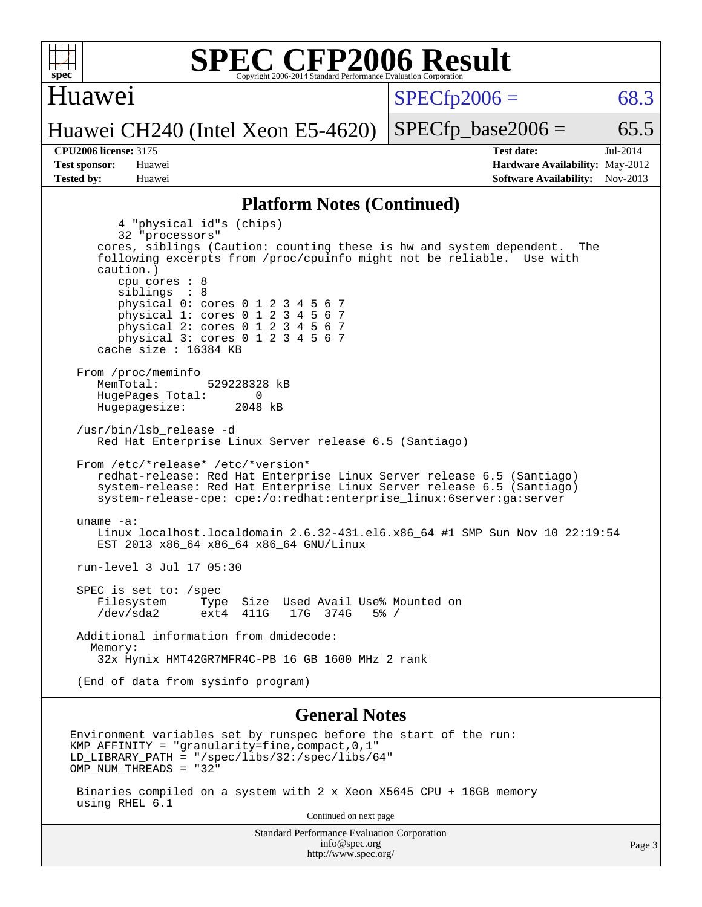

Continued on next page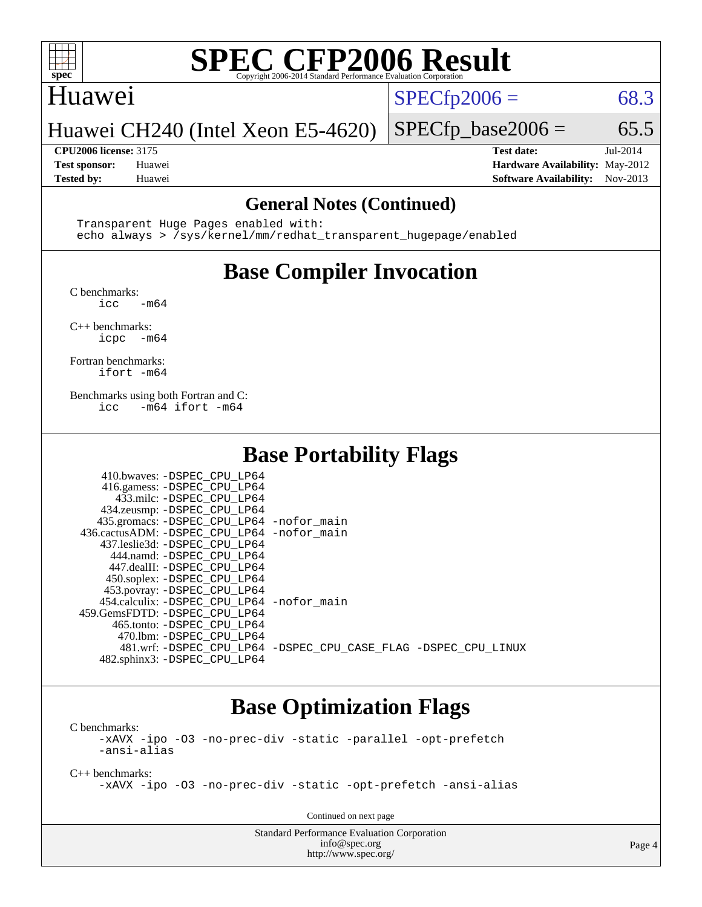

## Huawei

 $SPECTp2006 = 68.3$ 

### Huawei CH240 (Intel Xeon E5-4620)

#### **[CPU2006 license:](http://www.spec.org/auto/cpu2006/Docs/result-fields.html#CPU2006license)** 3175 **[Test date:](http://www.spec.org/auto/cpu2006/Docs/result-fields.html#Testdate)** Jul-2014

 $SPECTp\_base2006 = 65.5$ 

**[Test sponsor:](http://www.spec.org/auto/cpu2006/Docs/result-fields.html#Testsponsor)** Huawei **[Hardware Availability:](http://www.spec.org/auto/cpu2006/Docs/result-fields.html#HardwareAvailability)** May-2012 **[Tested by:](http://www.spec.org/auto/cpu2006/Docs/result-fields.html#Testedby)** Huawei **[Software Availability:](http://www.spec.org/auto/cpu2006/Docs/result-fields.html#SoftwareAvailability)** Nov-2013

#### **[General Notes \(Continued\)](http://www.spec.org/auto/cpu2006/Docs/result-fields.html#GeneralNotes)**

 Transparent Huge Pages enabled with: echo always > /sys/kernel/mm/redhat\_transparent\_hugepage/enabled

# **[Base Compiler Invocation](http://www.spec.org/auto/cpu2006/Docs/result-fields.html#BaseCompilerInvocation)**

[C benchmarks](http://www.spec.org/auto/cpu2006/Docs/result-fields.html#Cbenchmarks):

 $\text{icc}$  -m64

[C++ benchmarks:](http://www.spec.org/auto/cpu2006/Docs/result-fields.html#CXXbenchmarks) [icpc -m64](http://www.spec.org/cpu2006/results/res2014q3/cpu2006-20140717-30497.flags.html#user_CXXbase_intel_icpc_64bit_bedb90c1146cab66620883ef4f41a67e)

[Fortran benchmarks](http://www.spec.org/auto/cpu2006/Docs/result-fields.html#Fortranbenchmarks): [ifort -m64](http://www.spec.org/cpu2006/results/res2014q3/cpu2006-20140717-30497.flags.html#user_FCbase_intel_ifort_64bit_ee9d0fb25645d0210d97eb0527dcc06e)

[Benchmarks using both Fortran and C](http://www.spec.org/auto/cpu2006/Docs/result-fields.html#BenchmarksusingbothFortranandC): [icc -m64](http://www.spec.org/cpu2006/results/res2014q3/cpu2006-20140717-30497.flags.html#user_CC_FCbase_intel_icc_64bit_0b7121f5ab7cfabee23d88897260401c) [ifort -m64](http://www.spec.org/cpu2006/results/res2014q3/cpu2006-20140717-30497.flags.html#user_CC_FCbase_intel_ifort_64bit_ee9d0fb25645d0210d97eb0527dcc06e)

# **[Base Portability Flags](http://www.spec.org/auto/cpu2006/Docs/result-fields.html#BasePortabilityFlags)**

| 410.bwaves: -DSPEC CPU LP64                  |                                                                |
|----------------------------------------------|----------------------------------------------------------------|
| 416.gamess: -DSPEC_CPU_LP64                  |                                                                |
| 433.milc: -DSPEC CPU LP64                    |                                                                |
| 434.zeusmp: -DSPEC_CPU_LP64                  |                                                                |
| 435.gromacs: -DSPEC_CPU_LP64 -nofor_main     |                                                                |
| 436.cactusADM: - DSPEC CPU LP64 - nofor main |                                                                |
| 437.leslie3d: -DSPEC CPU LP64                |                                                                |
| 444.namd: -DSPEC CPU LP64                    |                                                                |
| 447.dealII: -DSPEC_CPU LP64                  |                                                                |
| 450.soplex: -DSPEC CPU LP64                  |                                                                |
| 453.povray: -DSPEC_CPU_LP64                  |                                                                |
| 454.calculix: -DSPEC_CPU_LP64 -nofor_main    |                                                                |
| 459. GemsFDTD: - DSPEC CPU LP64              |                                                                |
| 465.tonto: -DSPEC CPU LP64                   |                                                                |
| 470.1bm: -DSPEC CPU LP64                     |                                                                |
|                                              | 481.wrf: -DSPEC CPU_LP64 -DSPEC_CPU_CASE_FLAG -DSPEC_CPU_LINUX |
| 482.sphinx3: -DSPEC_CPU_LP64                 |                                                                |

# **[Base Optimization Flags](http://www.spec.org/auto/cpu2006/Docs/result-fields.html#BaseOptimizationFlags)**

[C benchmarks](http://www.spec.org/auto/cpu2006/Docs/result-fields.html#Cbenchmarks): [-xAVX](http://www.spec.org/cpu2006/results/res2014q3/cpu2006-20140717-30497.flags.html#user_CCbase_f-xAVX) [-ipo](http://www.spec.org/cpu2006/results/res2014q3/cpu2006-20140717-30497.flags.html#user_CCbase_f-ipo) [-O3](http://www.spec.org/cpu2006/results/res2014q3/cpu2006-20140717-30497.flags.html#user_CCbase_f-O3) [-no-prec-div](http://www.spec.org/cpu2006/results/res2014q3/cpu2006-20140717-30497.flags.html#user_CCbase_f-no-prec-div) [-static](http://www.spec.org/cpu2006/results/res2014q3/cpu2006-20140717-30497.flags.html#user_CCbase_f-static) [-parallel](http://www.spec.org/cpu2006/results/res2014q3/cpu2006-20140717-30497.flags.html#user_CCbase_f-parallel) [-opt-prefetch](http://www.spec.org/cpu2006/results/res2014q3/cpu2006-20140717-30497.flags.html#user_CCbase_f-opt-prefetch) [-ansi-alias](http://www.spec.org/cpu2006/results/res2014q3/cpu2006-20140717-30497.flags.html#user_CCbase_f-ansi-alias)

[C++ benchmarks:](http://www.spec.org/auto/cpu2006/Docs/result-fields.html#CXXbenchmarks) [-xAVX](http://www.spec.org/cpu2006/results/res2014q3/cpu2006-20140717-30497.flags.html#user_CXXbase_f-xAVX) [-ipo](http://www.spec.org/cpu2006/results/res2014q3/cpu2006-20140717-30497.flags.html#user_CXXbase_f-ipo) [-O3](http://www.spec.org/cpu2006/results/res2014q3/cpu2006-20140717-30497.flags.html#user_CXXbase_f-O3) [-no-prec-div](http://www.spec.org/cpu2006/results/res2014q3/cpu2006-20140717-30497.flags.html#user_CXXbase_f-no-prec-div) [-static](http://www.spec.org/cpu2006/results/res2014q3/cpu2006-20140717-30497.flags.html#user_CXXbase_f-static) [-opt-prefetch](http://www.spec.org/cpu2006/results/res2014q3/cpu2006-20140717-30497.flags.html#user_CXXbase_f-opt-prefetch) [-ansi-alias](http://www.spec.org/cpu2006/results/res2014q3/cpu2006-20140717-30497.flags.html#user_CXXbase_f-ansi-alias)

Continued on next page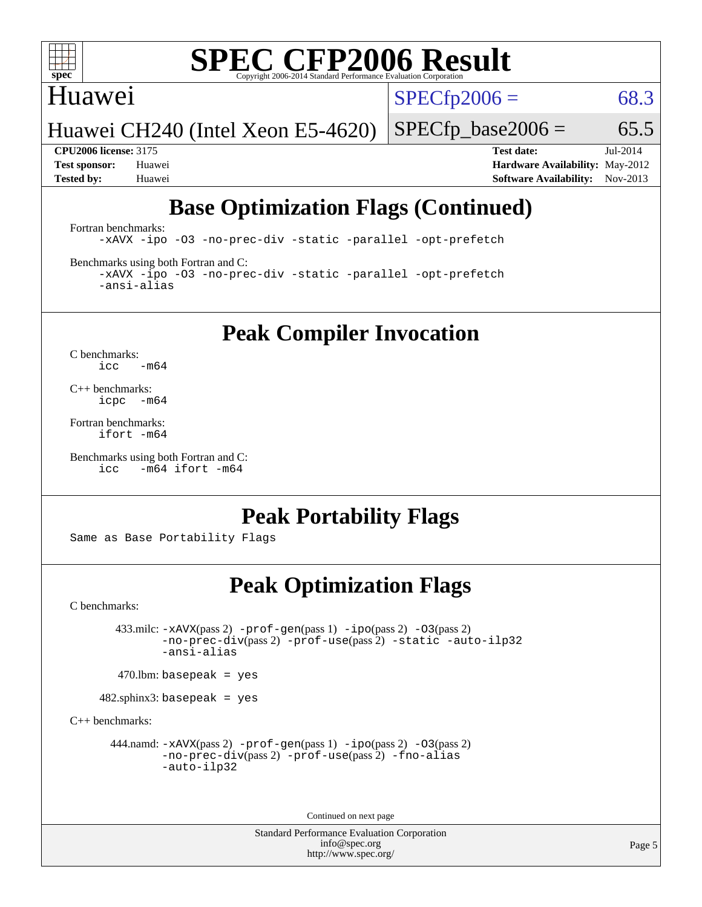

# Huawei

 $SPECTp2006 = 68.3$ 

Huawei CH240 (Intel Xeon E5-4620)

 $SPECTp\_base2006 = 65.5$ 

**[CPU2006 license:](http://www.spec.org/auto/cpu2006/Docs/result-fields.html#CPU2006license)** 3175 **[Test date:](http://www.spec.org/auto/cpu2006/Docs/result-fields.html#Testdate)** Jul-2014 **[Test sponsor:](http://www.spec.org/auto/cpu2006/Docs/result-fields.html#Testsponsor)** Huawei **[Hardware Availability:](http://www.spec.org/auto/cpu2006/Docs/result-fields.html#HardwareAvailability)** May-2012 **[Tested by:](http://www.spec.org/auto/cpu2006/Docs/result-fields.html#Testedby)** Huawei **[Software Availability:](http://www.spec.org/auto/cpu2006/Docs/result-fields.html#SoftwareAvailability)** Nov-2013

# **[Base Optimization Flags \(Continued\)](http://www.spec.org/auto/cpu2006/Docs/result-fields.html#BaseOptimizationFlags)**

[Fortran benchmarks](http://www.spec.org/auto/cpu2006/Docs/result-fields.html#Fortranbenchmarks):

[-xAVX](http://www.spec.org/cpu2006/results/res2014q3/cpu2006-20140717-30497.flags.html#user_FCbase_f-xAVX) [-ipo](http://www.spec.org/cpu2006/results/res2014q3/cpu2006-20140717-30497.flags.html#user_FCbase_f-ipo) [-O3](http://www.spec.org/cpu2006/results/res2014q3/cpu2006-20140717-30497.flags.html#user_FCbase_f-O3) [-no-prec-div](http://www.spec.org/cpu2006/results/res2014q3/cpu2006-20140717-30497.flags.html#user_FCbase_f-no-prec-div) [-static](http://www.spec.org/cpu2006/results/res2014q3/cpu2006-20140717-30497.flags.html#user_FCbase_f-static) [-parallel](http://www.spec.org/cpu2006/results/res2014q3/cpu2006-20140717-30497.flags.html#user_FCbase_f-parallel) [-opt-prefetch](http://www.spec.org/cpu2006/results/res2014q3/cpu2006-20140717-30497.flags.html#user_FCbase_f-opt-prefetch)

[Benchmarks using both Fortran and C](http://www.spec.org/auto/cpu2006/Docs/result-fields.html#BenchmarksusingbothFortranandC):

[-xAVX](http://www.spec.org/cpu2006/results/res2014q3/cpu2006-20140717-30497.flags.html#user_CC_FCbase_f-xAVX) [-ipo](http://www.spec.org/cpu2006/results/res2014q3/cpu2006-20140717-30497.flags.html#user_CC_FCbase_f-ipo) [-O3](http://www.spec.org/cpu2006/results/res2014q3/cpu2006-20140717-30497.flags.html#user_CC_FCbase_f-O3) [-no-prec-div](http://www.spec.org/cpu2006/results/res2014q3/cpu2006-20140717-30497.flags.html#user_CC_FCbase_f-no-prec-div) [-static](http://www.spec.org/cpu2006/results/res2014q3/cpu2006-20140717-30497.flags.html#user_CC_FCbase_f-static) [-parallel](http://www.spec.org/cpu2006/results/res2014q3/cpu2006-20140717-30497.flags.html#user_CC_FCbase_f-parallel) [-opt-prefetch](http://www.spec.org/cpu2006/results/res2014q3/cpu2006-20140717-30497.flags.html#user_CC_FCbase_f-opt-prefetch) [-ansi-alias](http://www.spec.org/cpu2006/results/res2014q3/cpu2006-20140717-30497.flags.html#user_CC_FCbase_f-ansi-alias)

**[Peak Compiler Invocation](http://www.spec.org/auto/cpu2006/Docs/result-fields.html#PeakCompilerInvocation)**

[C benchmarks](http://www.spec.org/auto/cpu2006/Docs/result-fields.html#Cbenchmarks):  $\text{icc}$  -m64

[C++ benchmarks:](http://www.spec.org/auto/cpu2006/Docs/result-fields.html#CXXbenchmarks) [icpc -m64](http://www.spec.org/cpu2006/results/res2014q3/cpu2006-20140717-30497.flags.html#user_CXXpeak_intel_icpc_64bit_bedb90c1146cab66620883ef4f41a67e)

[Fortran benchmarks](http://www.spec.org/auto/cpu2006/Docs/result-fields.html#Fortranbenchmarks): [ifort -m64](http://www.spec.org/cpu2006/results/res2014q3/cpu2006-20140717-30497.flags.html#user_FCpeak_intel_ifort_64bit_ee9d0fb25645d0210d97eb0527dcc06e)

[Benchmarks using both Fortran and C](http://www.spec.org/auto/cpu2006/Docs/result-fields.html#BenchmarksusingbothFortranandC): [icc -m64](http://www.spec.org/cpu2006/results/res2014q3/cpu2006-20140717-30497.flags.html#user_CC_FCpeak_intel_icc_64bit_0b7121f5ab7cfabee23d88897260401c) [ifort -m64](http://www.spec.org/cpu2006/results/res2014q3/cpu2006-20140717-30497.flags.html#user_CC_FCpeak_intel_ifort_64bit_ee9d0fb25645d0210d97eb0527dcc06e)

# **[Peak Portability Flags](http://www.spec.org/auto/cpu2006/Docs/result-fields.html#PeakPortabilityFlags)**

Same as Base Portability Flags

# **[Peak Optimization Flags](http://www.spec.org/auto/cpu2006/Docs/result-fields.html#PeakOptimizationFlags)**

[C benchmarks](http://www.spec.org/auto/cpu2006/Docs/result-fields.html#Cbenchmarks):

 433.milc: [-xAVX](http://www.spec.org/cpu2006/results/res2014q3/cpu2006-20140717-30497.flags.html#user_peakPASS2_CFLAGSPASS2_LDFLAGS433_milc_f-xAVX)(pass 2) [-prof-gen](http://www.spec.org/cpu2006/results/res2014q3/cpu2006-20140717-30497.flags.html#user_peakPASS1_CFLAGSPASS1_LDFLAGS433_milc_prof_gen_e43856698f6ca7b7e442dfd80e94a8fc)(pass 1) [-ipo](http://www.spec.org/cpu2006/results/res2014q3/cpu2006-20140717-30497.flags.html#user_peakPASS2_CFLAGSPASS2_LDFLAGS433_milc_f-ipo)(pass 2) [-O3](http://www.spec.org/cpu2006/results/res2014q3/cpu2006-20140717-30497.flags.html#user_peakPASS2_CFLAGSPASS2_LDFLAGS433_milc_f-O3)(pass 2) [-no-prec-div](http://www.spec.org/cpu2006/results/res2014q3/cpu2006-20140717-30497.flags.html#user_peakPASS2_CFLAGSPASS2_LDFLAGS433_milc_f-no-prec-div)(pass 2) [-prof-use](http://www.spec.org/cpu2006/results/res2014q3/cpu2006-20140717-30497.flags.html#user_peakPASS2_CFLAGSPASS2_LDFLAGS433_milc_prof_use_bccf7792157ff70d64e32fe3e1250b55)(pass 2) [-static](http://www.spec.org/cpu2006/results/res2014q3/cpu2006-20140717-30497.flags.html#user_peakOPTIMIZE433_milc_f-static) [-auto-ilp32](http://www.spec.org/cpu2006/results/res2014q3/cpu2006-20140717-30497.flags.html#user_peakCOPTIMIZE433_milc_f-auto-ilp32) [-ansi-alias](http://www.spec.org/cpu2006/results/res2014q3/cpu2006-20140717-30497.flags.html#user_peakCOPTIMIZE433_milc_f-ansi-alias)

 $470$ .lbm: basepeak = yes

482.sphinx3: basepeak = yes

[C++ benchmarks:](http://www.spec.org/auto/cpu2006/Docs/result-fields.html#CXXbenchmarks)

444.namd:  $-x$ AVX(pass 2)  $-p$ rof-gen(pass 1)  $-p$ po(pass 2)  $-03$ (pass 2) [-no-prec-div](http://www.spec.org/cpu2006/results/res2014q3/cpu2006-20140717-30497.flags.html#user_peakPASS2_CXXFLAGSPASS2_LDFLAGS444_namd_f-no-prec-div)(pass 2) [-prof-use](http://www.spec.org/cpu2006/results/res2014q3/cpu2006-20140717-30497.flags.html#user_peakPASS2_CXXFLAGSPASS2_LDFLAGS444_namd_prof_use_bccf7792157ff70d64e32fe3e1250b55)(pass 2) [-fno-alias](http://www.spec.org/cpu2006/results/res2014q3/cpu2006-20140717-30497.flags.html#user_peakCXXOPTIMIZEOPTIMIZE444_namd_f-no-alias_694e77f6c5a51e658e82ccff53a9e63a) [-auto-ilp32](http://www.spec.org/cpu2006/results/res2014q3/cpu2006-20140717-30497.flags.html#user_peakCXXOPTIMIZE444_namd_f-auto-ilp32)

Continued on next page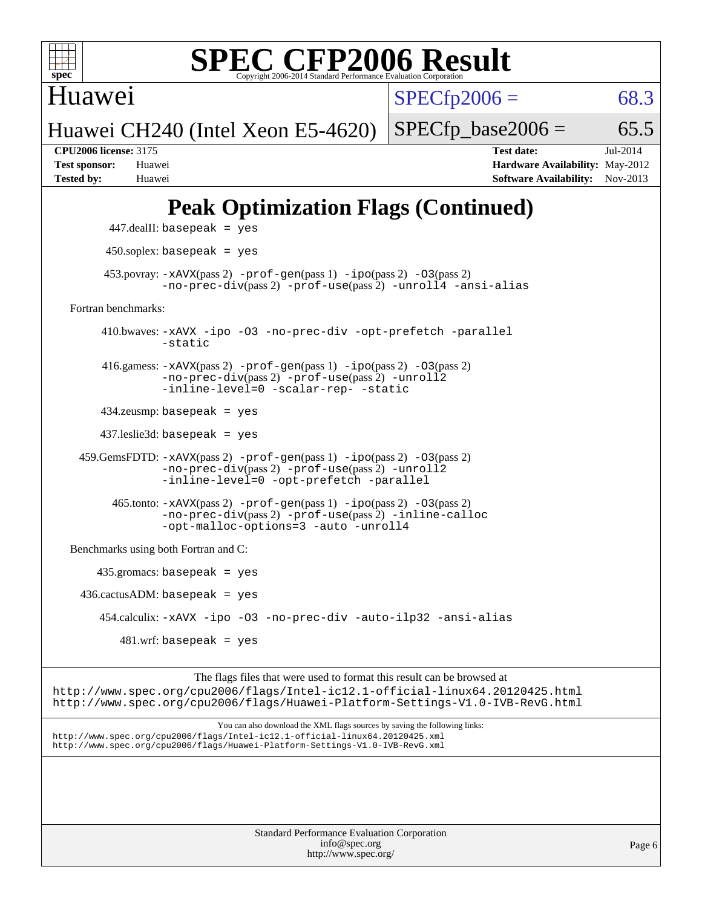

Huawei

 $SPECTp2006 = 68.3$ 

Huawei CH240 (Intel Xeon E5-4620)

 $SPECTp\_base2006 = 65.5$ 

**[CPU2006 license:](http://www.spec.org/auto/cpu2006/Docs/result-fields.html#CPU2006license)** 3175 **[Test date:](http://www.spec.org/auto/cpu2006/Docs/result-fields.html#Testdate)** Jul-2014 **[Test sponsor:](http://www.spec.org/auto/cpu2006/Docs/result-fields.html#Testsponsor)** Huawei **[Hardware Availability:](http://www.spec.org/auto/cpu2006/Docs/result-fields.html#HardwareAvailability)** May-2012 **[Tested by:](http://www.spec.org/auto/cpu2006/Docs/result-fields.html#Testedby)** Huawei **[Software Availability:](http://www.spec.org/auto/cpu2006/Docs/result-fields.html#SoftwareAvailability)** Nov-2013

# **[Peak Optimization Flags \(Continued\)](http://www.spec.org/auto/cpu2006/Docs/result-fields.html#PeakOptimizationFlags)**

```
 447.dealII: basepeak = yes
          450.soplex: basepeak = yes
        453.povray: -xAVX(pass 2) -prof-gen(pass 1) -ipo(pass 2) -03(pass 2)
                  -no-prec-div(pass 2) -prof-use(pass 2) -unroll4 -ansi-alias
   Fortran benchmarks: 
         410.bwaves: -xAVX -ipo -O3 -no-prec-div -opt-prefetch -parallel
                  -static
         416.gamess: -xAVX(pass 2) -prof-gen(pass 1) -ipo(pass 2) -O3(pass 2)
                  -no-prec-div(pass 2) -prof-use(pass 2) -unroll2
                  -inline-level=0 -scalar-rep- -static
         434.zeusmp: basepeak = yes
         437.leslie3d: basepeak = yes
     459.GemsFDTD: -xAVX(pass 2) -prof-gen(pass 1) -ipo(pass 2) -O3(pass 2)
                  -no-prec-div(pass 2) -prof-use(pass 2) -unroll2
                  -inline-level=0 -opt-prefetch -parallel
          465.tonto: -xAVX(pass 2) -prof-gen(pass 1) -po(pass 2) -03(pass 2)
                  -no-prec-div(pass 2) -prof-use(pass 2) -inline-calloc
                  -opt-malloc-options=3-auto-unroll4
   Benchmarks using both Fortran and C: 
        435.gromacs: basepeak = yes
    436.cactusADM: basepeak = yes 454.calculix: -xAVX -ipo -O3 -no-prec-div -auto-ilp32 -ansi-alias
           481.wrf: basepeak = yes
                        The flags files that were used to format this result can be browsed at
http://www.spec.org/cpu2006/flags/Intel-ic12.1-official-linux64.20120425.html
```
<http://www.spec.org/cpu2006/flags/Huawei-Platform-Settings-V1.0-IVB-RevG.html>

You can also download the XML flags sources by saving the following links: <http://www.spec.org/cpu2006/flags/Intel-ic12.1-official-linux64.20120425.xml> <http://www.spec.org/cpu2006/flags/Huawei-Platform-Settings-V1.0-IVB-RevG.xml>